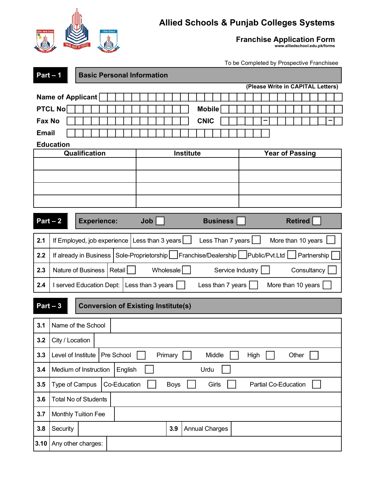

## **Allied Schools & Punjab Colleges Systems**

**Franchise Application Form www.alliedschool.edu.pk/forms**

To be Completed by Prospective Franchisee

|                                  | $Part - 1$<br><b>Basic Personal Information</b>                                                        |                     |  |            |                                                                |                                   |  |  |  |                        |  |  |  |  |  |
|----------------------------------|--------------------------------------------------------------------------------------------------------|---------------------|--|------------|----------------------------------------------------------------|-----------------------------------|--|--|--|------------------------|--|--|--|--|--|
|                                  | (Please Write in CAPITAL Letters)                                                                      |                     |  |            |                                                                |                                   |  |  |  |                        |  |  |  |  |  |
| Name of Applicant                |                                                                                                        |                     |  |            |                                                                |                                   |  |  |  |                        |  |  |  |  |  |
|                                  | <b>PTCL No</b>                                                                                         |                     |  |            |                                                                | <b>Mobile</b>                     |  |  |  |                        |  |  |  |  |  |
| Fax No                           |                                                                                                        |                     |  |            |                                                                | <b>CNIC</b>                       |  |  |  |                        |  |  |  |  |  |
| <b>Email</b>                     |                                                                                                        |                     |  |            |                                                                |                                   |  |  |  |                        |  |  |  |  |  |
|                                  | <b>Education</b>                                                                                       |                     |  |            |                                                                |                                   |  |  |  |                        |  |  |  |  |  |
|                                  |                                                                                                        | Qualification       |  |            |                                                                | Institute                         |  |  |  | <b>Year of Passing</b> |  |  |  |  |  |
|                                  |                                                                                                        |                     |  |            |                                                                |                                   |  |  |  |                        |  |  |  |  |  |
|                                  |                                                                                                        |                     |  |            |                                                                |                                   |  |  |  |                        |  |  |  |  |  |
|                                  |                                                                                                        |                     |  |            |                                                                |                                   |  |  |  |                        |  |  |  |  |  |
|                                  |                                                                                                        |                     |  |            |                                                                |                                   |  |  |  |                        |  |  |  |  |  |
| $Part - 2$<br><b>Experience:</b> |                                                                                                        |                     |  | <b>Job</b> |                                                                | <b>Retired</b><br><b>Business</b> |  |  |  |                        |  |  |  |  |  |
| 2.1                              | If Employed, job experience                                                                            |                     |  |            | Less than 3 years<br>Less Than 7 years [<br>More than 10 years |                                   |  |  |  |                        |  |  |  |  |  |
| 2.2                              | Franchise/Dealership   Public/Pvt.Ltd  <br>If already in Business   Sole-Proprietorship<br>Partnership |                     |  |            |                                                                |                                   |  |  |  |                        |  |  |  |  |  |
| 2.3                              | Nature of Business<br>Retail                                                                           |                     |  |            | Wholesale<br>Service Industry<br>Consultancy                   |                                   |  |  |  |                        |  |  |  |  |  |
| 2.4                              | I served Education Dept:                                                                               |                     |  |            | Less than 3 years<br>More than 10 years<br>Less than 7 years   |                                   |  |  |  |                        |  |  |  |  |  |
|                                  | $Part - 3$<br><b>Conversion of Existing Institute(s)</b>                                               |                     |  |            |                                                                |                                   |  |  |  |                        |  |  |  |  |  |
|                                  |                                                                                                        |                     |  |            |                                                                |                                   |  |  |  |                        |  |  |  |  |  |
| 3.1                              |                                                                                                        | Name of the School  |  |            |                                                                |                                   |  |  |  |                        |  |  |  |  |  |
| 3.2                              | City / Location                                                                                        |                     |  |            |                                                                |                                   |  |  |  |                        |  |  |  |  |  |
| 3.3                              | Level of Institute   Pre School<br>Primary<br>Middle<br>Other<br>High                                  |                     |  |            |                                                                |                                   |  |  |  |                        |  |  |  |  |  |
| 3.4                              | Medium of Instruction<br>English<br>Urdu                                                               |                     |  |            |                                                                |                                   |  |  |  |                        |  |  |  |  |  |
| 3.5                              | Co-Education<br>Type of Campus<br><b>Boys</b><br>Girls<br>Partial Co-Education                         |                     |  |            |                                                                |                                   |  |  |  |                        |  |  |  |  |  |
| 3.6                              | <b>Total No of Students</b>                                                                            |                     |  |            |                                                                |                                   |  |  |  |                        |  |  |  |  |  |
| 3.7                              |                                                                                                        | Monthly Tuition Fee |  |            |                                                                |                                   |  |  |  |                        |  |  |  |  |  |
| 3.8                              | Security                                                                                               |                     |  |            | 3.9                                                            | <b>Annual Charges</b>             |  |  |  |                        |  |  |  |  |  |
| 3.10                             |                                                                                                        | Any other charges:  |  |            |                                                                |                                   |  |  |  |                        |  |  |  |  |  |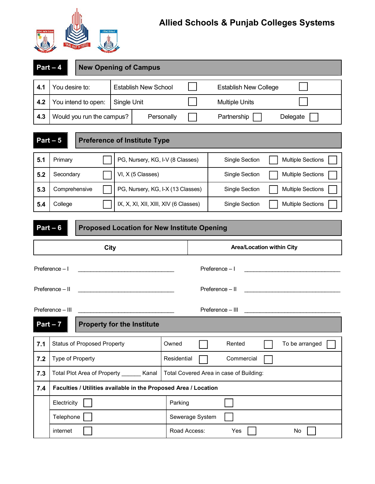

## **Allied Schools & Punjab Colleges Systems**

|                                                   | $Part - 4$<br><b>New Opening of Campus</b>                                                     |                                   |                                                             |                                            |                       |                          |  |  |  |
|---------------------------------------------------|------------------------------------------------------------------------------------------------|-----------------------------------|-------------------------------------------------------------|--------------------------------------------|-----------------------|--------------------------|--|--|--|
| 4.1                                               | You desire to:                                                                                 |                                   | <b>Establish New School</b><br><b>Establish New College</b> |                                            |                       |                          |  |  |  |
| 4.2                                               | You intend to open:                                                                            | Single Unit                       |                                                             |                                            | <b>Multiple Units</b> |                          |  |  |  |
| 4.3<br>Would you run the campus?                  |                                                                                                |                                   | Personally                                                  |                                            | Partnership           | Delegate                 |  |  |  |
| $Part - 5$<br><b>Preference of Institute Type</b> |                                                                                                |                                   |                                                             |                                            |                       |                          |  |  |  |
| 5.1                                               | Primary                                                                                        | PG, Nursery, KG, I-V (8 Classes)  |                                                             |                                            | Single Section        | <b>Multiple Sections</b> |  |  |  |
| 5.2                                               | Secondary                                                                                      | VI, X (5 Classes)                 |                                                             |                                            | Single Section        | <b>Multiple Sections</b> |  |  |  |
| 5.3                                               | Comprehensive                                                                                  | PG, Nursery, KG, I-X (13 Classes) |                                                             | Single Section<br><b>Multiple Sections</b> |                       |                          |  |  |  |
| 5.4                                               | College<br>IX, X, XI, XII, XIII, XIV (6 Classes)<br>Single Section<br><b>Multiple Sections</b> |                                   |                                                             |                                            |                       |                          |  |  |  |
|                                                   | $Part - 6$<br><b>Proposed Location for New Institute Opening</b>                               |                                   |                                                             |                                            |                       |                          |  |  |  |
|                                                   | Area/Location within City<br><b>City</b>                                                       |                                   |                                                             |                                            |                       |                          |  |  |  |
| Preference - I<br>Preference - I                  |                                                                                                |                                   |                                                             |                                            |                       |                          |  |  |  |
|                                                   | Preference - II<br>$Préference - II$                                                           |                                   |                                                             |                                            |                       |                          |  |  |  |
| Preference - III<br>Preference - III              |                                                                                                |                                   |                                                             |                                            |                       |                          |  |  |  |
| $Part - 7$<br><b>Property for the Institute</b>   |                                                                                                |                                   |                                                             |                                            |                       |                          |  |  |  |
| 7.1                                               | <b>Status of Proposed Property</b>                                                             | Owned                             |                                                             | Rented                                     | To be arranged        |                          |  |  |  |
| 7.2                                               | Type of Property                                                                               |                                   | Residential                                                 |                                            | Commercial            |                          |  |  |  |
| 7.3                                               | <b>Total Plot Area of Property</b>                                                             | Kanal                             | Total Covered Area in case of Building:                     |                                            |                       |                          |  |  |  |

| ---- |                                                                 |                 | ຼ   |    |
|------|-----------------------------------------------------------------|-----------------|-----|----|
| 7.4  | Faculties / Utilities available in the Proposed Area / Location |                 |     |    |
|      | Electricity                                                     | Parking         |     |    |
|      | Telephone                                                       | Sewerage System |     |    |
|      | internet                                                        | Road Access:    | Yes | No |